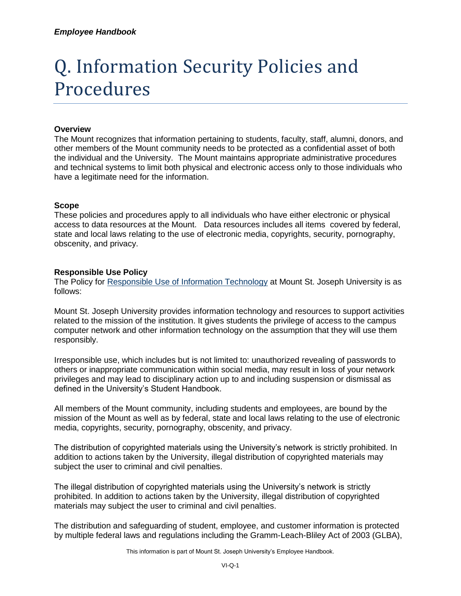# Q. Information Security Policies and Procedures

## **Overview**

The Mount recognizes that information pertaining to students, faculty, staff, alumni, donors, and other members of the Mount community needs to be protected as a confidential asset of both the individual and the University. The Mount maintains appropriate administrative procedures and technical systems to limit both physical and electronic access only to those individuals who have a legitimate need for the information.

## **Scope**

These policies and procedures apply to all individuals who have either electronic or physical access to data resources at the Mount. Data resources includes all items covered by federal, state and local laws relating to the use of electronic media, copyrights, security, pornography, obscenity, and privacy.

## **Responsible Use Policy**

The Policy for [Responsible Use of Information Technology](https://mymount.msj.edu/ICS/icsfs/Responsible_Use_of_Information_Technology.pdf?target=e3c1f82d-4a6b-4db1-8c1c-631a2cb92064) at Mount St. Joseph University is as follows:

Mount St. Joseph University provides information technology and resources to support activities related to the mission of the institution. It gives students the privilege of access to the campus computer network and other information technology on the assumption that they will use them responsibly.

Irresponsible use, which includes but is not limited to: unauthorized revealing of passwords to others or inappropriate communication within social media, may result in loss of your network privileges and may lead to disciplinary action up to and including suspension or dismissal as defined in the University's Student Handbook.

All members of the Mount community, including students and employees, are bound by the mission of the Mount as well as by federal, state and local laws relating to the use of electronic media, copyrights, security, pornography, obscenity, and privacy.

The distribution of copyrighted materials using the University's network is strictly prohibited. In addition to actions taken by the University, illegal distribution of copyrighted materials may subject the user to criminal and civil penalties.

The illegal distribution of copyrighted materials using the University's network is strictly prohibited. In addition to actions taken by the University, illegal distribution of copyrighted materials may subject the user to criminal and civil penalties.

The distribution and safeguarding of student, employee, and customer information is protected by multiple federal laws and regulations including the Gramm-Leach-Bliley Act of 2003 (GLBA),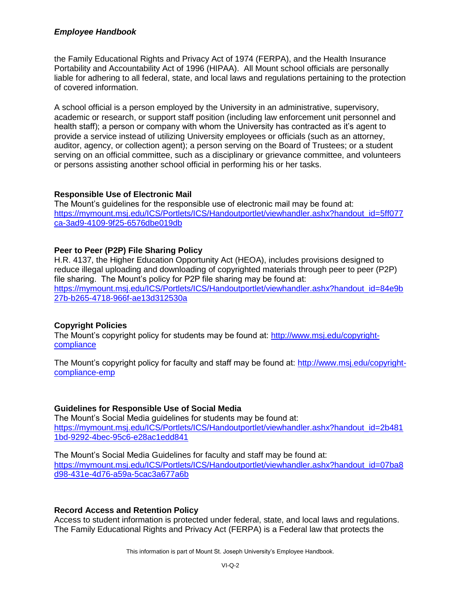## *Employee Handbook*

the Family Educational Rights and Privacy Act of 1974 (FERPA), and the Health Insurance Portability and Accountability Act of 1996 (HIPAA). All Mount school officials are personally liable for adhering to all federal, state, and local laws and regulations pertaining to the protection of covered information.

A school official is a person employed by the University in an administrative, supervisory, academic or research, or support staff position (including law enforcement unit personnel and health staff); a person or company with whom the University has contracted as it's agent to provide a service instead of utilizing University employees or officials (such as an attorney, auditor, agency, or collection agent); a person serving on the Board of Trustees; or a student serving on an official committee, such as a disciplinary or grievance committee, and volunteers or persons assisting another school official in performing his or her tasks.

## **Responsible Use of Electronic Mail**

The Mount's guidelines for the responsible use of electronic mail may be found at: [https://mymount.msj.edu/ICS/Portlets/ICS/Handoutportlet/viewhandler.ashx?handout\\_id=5ff077](https://mymount.msj.edu/ICS/Portlets/ICS/Handoutportlet/viewhandler.ashx?handout_id=5ff077ca-3ad9-4109-9f25-6576dbe019db) [ca-3ad9-4109-9f25-6576dbe019db](https://mymount.msj.edu/ICS/Portlets/ICS/Handoutportlet/viewhandler.ashx?handout_id=5ff077ca-3ad9-4109-9f25-6576dbe019db)

# **Peer to Peer (P2P) File Sharing Policy**

H.R. 4137, the Higher Education Opportunity Act (HEOA), includes provisions designed to reduce illegal uploading and downloading of copyrighted materials through peer to peer (P2P) file sharing. The Mount's policy for P2P file sharing may be found at: [https://mymount.msj.edu/ICS/Portlets/ICS/Handoutportlet/viewhandler.ashx?handout\\_id=84e9b](https://mymount.msj.edu/ICS/Portlets/ICS/Handoutportlet/viewhandler.ashx?handout_id=84e9b27b-b265-4718-966f-ae13d312530a) [27b-b265-4718-966f-ae13d312530a](https://mymount.msj.edu/ICS/Portlets/ICS/Handoutportlet/viewhandler.ashx?handout_id=84e9b27b-b265-4718-966f-ae13d312530a)

# **Copyright Policies**

The Mount's copyright policy for students may be found at: [http://www.msj.edu/copyright](http://www.msj.edu/copyright-compliance)[compliance](http://www.msj.edu/copyright-compliance)

The Mount's copyright policy for faculty and staff may be found at: [http://www.msj.edu/copyright](http://www.msj.edu/copyright-compliance-emp)[compliance-emp](http://www.msj.edu/copyright-compliance-emp)

# **Guidelines for Responsible Use of Social Media**

The Mount's Social Media guidelines for students may be found at: [https://mymount.msj.edu/ICS/Portlets/ICS/Handoutportlet/viewhandler.ashx?handout\\_id=2b481](https://mymount.msj.edu/ICS/Portlets/ICS/Handoutportlet/viewhandler.ashx?handout_id=2b4811bd-9292-4bec-95c6-e28ac1edd841) [1bd-9292-4bec-95c6-e28ac1edd841](https://mymount.msj.edu/ICS/Portlets/ICS/Handoutportlet/viewhandler.ashx?handout_id=2b4811bd-9292-4bec-95c6-e28ac1edd841)

The Mount's Social Media Guidelines for faculty and staff may be found at: [https://mymount.msj.edu/ICS/Portlets/ICS/Handoutportlet/viewhandler.ashx?handout\\_id=07ba8](https://mymount.msj.edu/ICS/Portlets/ICS/Handoutportlet/viewhandler.ashx?handout_id=07ba8d98-431e-4d76-a59a-5cac3a677a6b) [d98-431e-4d76-a59a-5cac3a677a6b](https://mymount.msj.edu/ICS/Portlets/ICS/Handoutportlet/viewhandler.ashx?handout_id=07ba8d98-431e-4d76-a59a-5cac3a677a6b)

#### **Record Access and Retention Policy**

Access to student information is protected under federal, state, and local laws and regulations. The Family Educational Rights and Privacy Act (FERPA) is a Federal law that protects the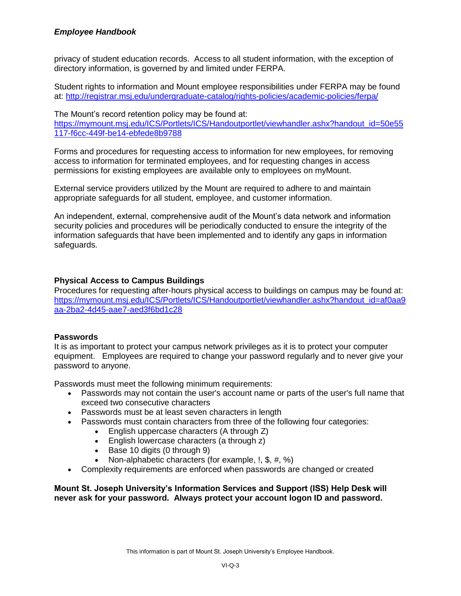privacy of student education records. Access to all student information, with the exception of directory information, is governed by and limited under FERPA.

Student rights to information and Mount employee responsibilities under FERPA may be found at:<http://registrar.msj.edu/undergraduate-catalog/rights-policies/academic-policies/ferpa/>

The Mount's record retention policy may be found at: [https://mymount.msj.edu/ICS/Portlets/ICS/Handoutportlet/viewhandler.ashx?handout\\_id=50e55](https://mymount.msj.edu/ICS/Portlets/ICS/Handoutportlet/viewhandler.ashx?handout_id=50e55117-f6cc-449f-be14-ebfede8b9788) [117-f6cc-449f-be14-ebfede8b9788](https://mymount.msj.edu/ICS/Portlets/ICS/Handoutportlet/viewhandler.ashx?handout_id=50e55117-f6cc-449f-be14-ebfede8b9788)

Forms and procedures for requesting access to information for new employees, for removing access to information for terminated employees, and for requesting changes in access permissions for existing employees are available only to employees on myMount.

External service providers utilized by the Mount are required to adhere to and maintain appropriate safeguards for all student, employee, and customer information.

An independent, external, comprehensive audit of the Mount's data network and information security policies and procedures will be periodically conducted to ensure the integrity of the information safeguards that have been implemented and to identify any gaps in information safeguards.

# **Physical Access to Campus Buildings**

Procedures for requesting after-hours physical access to buildings on campus may be found at: [https://mymount.msj.edu/ICS/Portlets/ICS/Handoutportlet/viewhandler.ashx?handout\\_id=af0aa9](https://mymount.msj.edu/ICS/Portlets/ICS/Handoutportlet/viewhandler.ashx?handout_id=af0aa9aa-2ba2-4d45-aae7-aed3f6bd1c28) [aa-2ba2-4d45-aae7-aed3f6bd1c28](https://mymount.msj.edu/ICS/Portlets/ICS/Handoutportlet/viewhandler.ashx?handout_id=af0aa9aa-2ba2-4d45-aae7-aed3f6bd1c28)

#### **Passwords**

It is as important to protect your campus network privileges as it is to protect your computer equipment. Employees are required to change your password regularly and to never give your password to anyone.

Passwords must meet the following minimum requirements:

- Passwords may not contain the user's account name or parts of the user's full name that exceed two consecutive characters
- Passwords must be at least seven characters in length
- Passwords must contain characters from three of the following four categories:
	- English uppercase characters (A through Z)
	- English lowercase characters (a through z)
		- $\bullet$  Base 10 digits (0 through 9)
	- Non-alphabetic characters (for example, !, \$, #, %)
- Complexity requirements are enforced when passwords are changed or created

**Mount St. Joseph University's Information Services and Support (ISS) Help Desk will never ask for your password. Always protect your account logon ID and password.**